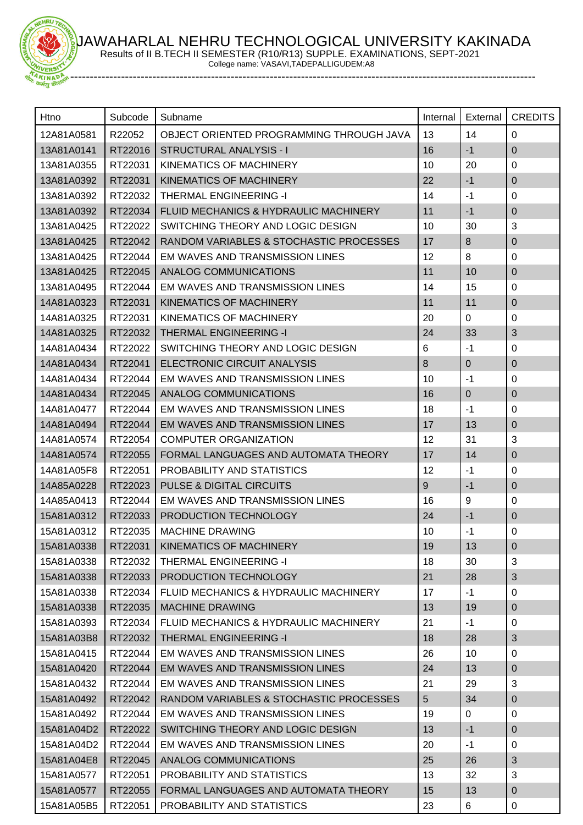JAWAHARLAL NEHRU TECHNOLOGICAL UNIVERSITY KAKINADA Results of II B.TECH II SEMESTER (R10/R13) SUPPLE. EXAMINATIONS, SEPT-2021



 $E$ **HRU** 

College name: VASAVI,TADEPALLIGUDEM:A8

| Htno       | Subcode | Subname                                  | Internal       | External  | <b>CREDITS</b> |
|------------|---------|------------------------------------------|----------------|-----------|----------------|
| 12A81A0581 | R22052  | OBJECT ORIENTED PROGRAMMING THROUGH JAVA | 13             | 14        | $\Omega$       |
| 13A81A0141 | RT22016 | <b>STRUCTURAL ANALYSIS - I</b>           | 16             | $-1$      | $\pmb{0}$      |
| 13A81A0355 | RT22031 | <b>KINEMATICS OF MACHINERY</b>           | 10             | 20        | 0              |
| 13A81A0392 | RT22031 | KINEMATICS OF MACHINERY                  | 22             | $-1$      | 0              |
| 13A81A0392 | RT22032 | <b>THERMAL ENGINEERING -I</b>            | 14             | $-1$      | $\mathbf 0$    |
| 13A81A0392 | RT22034 | FLUID MECHANICS & HYDRAULIC MACHINERY    | 11             | $-1$      | $\pmb{0}$      |
| 13A81A0425 | RT22022 | SWITCHING THEORY AND LOGIC DESIGN        | 10             | 30        | 3              |
| 13A81A0425 | RT22042 | RANDOM VARIABLES & STOCHASTIC PROCESSES  | 17             | 8         | $\pmb{0}$      |
| 13A81A0425 | RT22044 | EM WAVES AND TRANSMISSION LINES          | 12             | 8         | $\mathbf 0$    |
| 13A81A0425 | RT22045 | ANALOG COMMUNICATIONS                    | 11             | 10        | $\pmb{0}$      |
| 13A81A0495 | RT22044 | EM WAVES AND TRANSMISSION LINES          | 14             | 15        | $\mathbf 0$    |
| 14A81A0323 | RT22031 | KINEMATICS OF MACHINERY                  | 11             | 11        | $\pmb{0}$      |
| 14A81A0325 | RT22031 | KINEMATICS OF MACHINERY                  | 20             | 0         | 0              |
| 14A81A0325 | RT22032 | <b>THERMAL ENGINEERING -I</b>            | 24             | 33        | 3              |
| 14A81A0434 | RT22022 | SWITCHING THEORY AND LOGIC DESIGN        | 6              | $-1$      | $\pmb{0}$      |
| 14A81A0434 | RT22041 | ELECTRONIC CIRCUIT ANALYSIS              | 8              | 0         | $\pmb{0}$      |
| 14A81A0434 | RT22044 | EM WAVES AND TRANSMISSION LINES          | 10             | $-1$      | 0              |
| 14A81A0434 | RT22045 | ANALOG COMMUNICATIONS                    | 16             | $\pmb{0}$ | $\pmb{0}$      |
| 14A81A0477 | RT22044 | EM WAVES AND TRANSMISSION LINES          | 18             | $-1$      | $\mathbf 0$    |
| 14A81A0494 | RT22044 | EM WAVES AND TRANSMISSION LINES          | 17             | 13        | 0              |
| 14A81A0574 | RT22054 | <b>COMPUTER ORGANIZATION</b>             | 12             | 31        | 3              |
| 14A81A0574 | RT22055 | FORMAL LANGUAGES AND AUTOMATA THEORY     | 17             | 14        | $\pmb{0}$      |
| 14A81A05F8 | RT22051 | PROBABILITY AND STATISTICS               | 12             | $-1$      | 0              |
| 14A85A0228 | RT22023 | PULSE & DIGITAL CIRCUITS                 | 9              | $-1$      | $\pmb{0}$      |
| 14A85A0413 | RT22044 | EM WAVES AND TRANSMISSION LINES          | 16             | 9         | $\mathbf 0$    |
| 15A81A0312 | RT22033 | PRODUCTION TECHNOLOGY                    | 24             | $-1$      | $\pmb{0}$      |
| 15A81A0312 | RT22035 | <b>MACHINE DRAWING</b>                   | 10             | $-1$      | 0              |
| 15A81A0338 | RT22031 | <b>KINEMATICS OF MACHINERY</b>           | 19             | 13        | 0              |
| 15A81A0338 | RT22032 | <b>THERMAL ENGINEERING -I</b>            | 18             | 30        | 3              |
| 15A81A0338 | RT22033 | PRODUCTION TECHNOLOGY                    | 21             | 28        | 3              |
| 15A81A0338 | RT22034 | FLUID MECHANICS & HYDRAULIC MACHINERY    | 17             | $-1$      | 0              |
| 15A81A0338 | RT22035 | <b>MACHINE DRAWING</b>                   | 13             | 19        | $\pmb{0}$      |
| 15A81A0393 | RT22034 | FLUID MECHANICS & HYDRAULIC MACHINERY    | 21             | $-1$      | 0              |
| 15A81A03B8 | RT22032 | <b>THERMAL ENGINEERING -I</b>            | 18             | 28        | 3              |
| 15A81A0415 | RT22044 | EM WAVES AND TRANSMISSION LINES          | 26             | 10        | 0              |
| 15A81A0420 | RT22044 | EM WAVES AND TRANSMISSION LINES          | 24             | 13        | 0              |
| 15A81A0432 | RT22044 | EM WAVES AND TRANSMISSION LINES          | 21             | 29        | 3              |
| 15A81A0492 | RT22042 | RANDOM VARIABLES & STOCHASTIC PROCESSES  | 5 <sup>5</sup> | 34        | 0              |
| 15A81A0492 | RT22044 | EM WAVES AND TRANSMISSION LINES          | 19             | 0         | 0              |
| 15A81A04D2 | RT22022 | SWITCHING THEORY AND LOGIC DESIGN        | 13             | $-1$      | 0              |
| 15A81A04D2 | RT22044 | EM WAVES AND TRANSMISSION LINES          | 20             | $-1$      | 0              |
| 15A81A04E8 | RT22045 | ANALOG COMMUNICATIONS                    | 25             | 26        | 3              |
| 15A81A0577 | RT22051 | PROBABILITY AND STATISTICS               | 13             | 32        | 3              |
| 15A81A0577 | RT22055 | FORMAL LANGUAGES AND AUTOMATA THEORY     | 15             | 13        | $\overline{0}$ |
| 15A81A05B5 | RT22051 | PROBABILITY AND STATISTICS               | 23             | 6         | 0              |